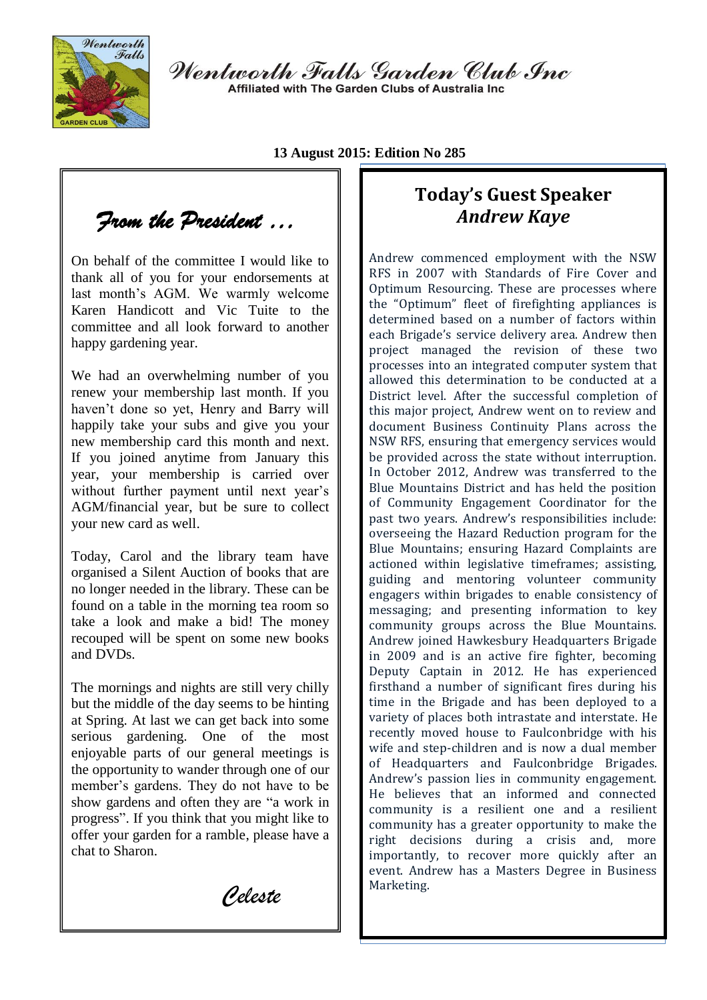

Wentworth Falls Garden Club Inc Affiliated with The Garden Clubs of Australia Inc.

**13 August 2015: Edition No 285**

*From the President …* 

On behalf of the committee I would like to thank all of you for your endorsements at last month's AGM. We warmly welcome Karen Handicott and Vic Tuite to the committee and all look forward to another happy gardening year.

We had an overwhelming number of you renew your membership last month. If you haven't done so yet, Henry and Barry will happily take your subs and give you your new membership card this month and next. If you joined anytime from January this year, your membership is carried over without further payment until next year's AGM/financial year, but be sure to collect your new card as well.

Today, Carol and the library team have organised a Silent Auction of books that are no longer needed in the library. These can be found on a table in the morning tea room so take a look and make a bid! The money recouped will be spent on some new books and DVDs.

The mornings and nights are still very chilly but the middle of the day seems to be hinting at Spring. At last we can get back into some serious gardening. One of the most enjoyable parts of our general meetings is the opportunity to wander through one of our member's gardens. They do not have to be show gardens and often they are "a work in progress". If you think that you might like to offer your garden for a ramble, please have a chat to Sharon.

 *Celeste* 

# **Today's Guest Speaker** *Andrew Kaye*

Andrew commenced employment with the NSW RFS in 2007 with Standards of Fire Cover and Optimum Resourcing. These are processes where the "Optimum" fleet of firefighting appliances is determined based on a number of factors within each Brigade's service delivery area. Andrew then project managed the revision of these two processes into an integrated computer system that allowed this determination to be conducted at a District level. After the successful completion of this major project, Andrew went on to review and document Business Continuity Plans across the NSW RFS, ensuring that emergency services would be provided across the state without interruption. In October 2012, Andrew was transferred to the Blue Mountains District and has held the position of Community Engagement Coordinator for the past two years. Andrew's responsibilities include: overseeing the Hazard Reduction program for the Blue Mountains; ensuring Hazard Complaints are actioned within legislative timeframes; assisting, guiding and mentoring volunteer community engagers within brigades to enable consistency of messaging; and presenting information to key community groups across the Blue Mountains. Andrew joined Hawkesbury Headquarters Brigade in 2009 and is an active fire fighter, becoming Deputy Captain in 2012. He has experienced firsthand a number of significant fires during his time in the Brigade and has been deployed to a variety of places both intrastate and interstate. He recently moved house to Faulconbridge with his wife and step-children and is now a dual member of Headquarters and Faulconbridge Brigades. Andrew's passion lies in community engagement. He believes that an informed and connected community is a resilient one and a resilient community has a greater opportunity to make the right decisions during a crisis and, more importantly, to recover more quickly after an event. Andrew has a Masters Degree in Business Marketing.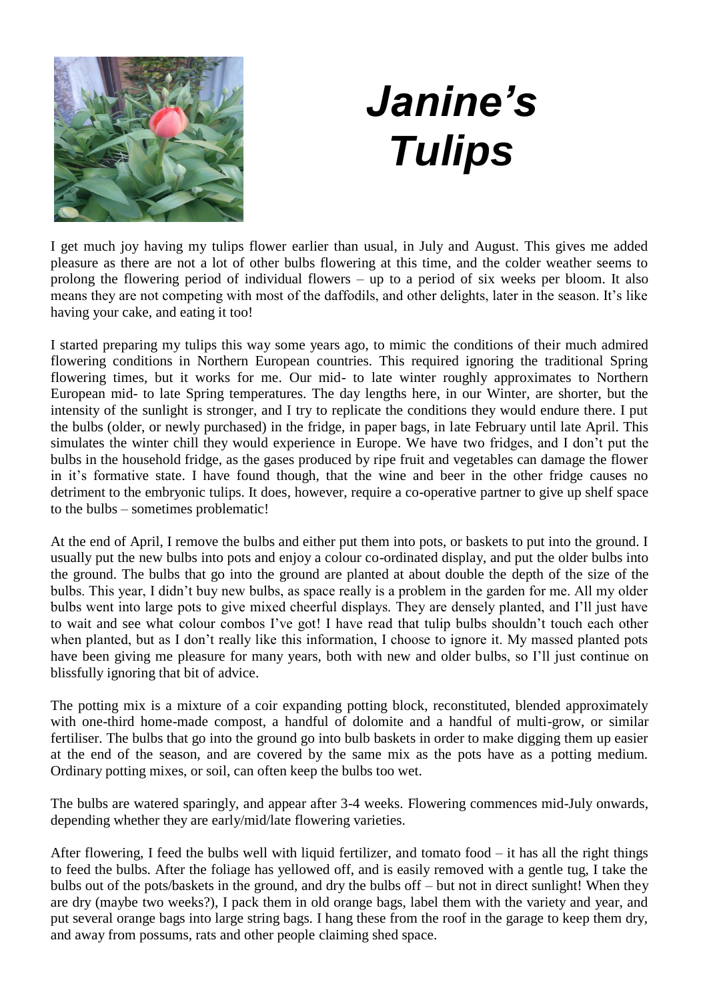

# *Janine's Tulips*

I get much joy having my tulips flower earlier than usual, in July and August. This gives me added pleasure as there are not a lot of other bulbs flowering at this time, and the colder weather seems to prolong the flowering period of individual flowers – up to a period of six weeks per bloom. It also means they are not competing with most of the daffodils, and other delights, later in the season. It's like having your cake, and eating it too!

I started preparing my tulips this way some years ago, to mimic the conditions of their much admired flowering conditions in Northern European countries. This required ignoring the traditional Spring flowering times, but it works for me. Our mid- to late winter roughly approximates to Northern European mid- to late Spring temperatures. The day lengths here, in our Winter, are shorter, but the intensity of the sunlight is stronger, and I try to replicate the conditions they would endure there. I put the bulbs (older, or newly purchased) in the fridge, in paper bags, in late February until late April. This simulates the winter chill they would experience in Europe. We have two fridges, and I don't put the bulbs in the household fridge, as the gases produced by ripe fruit and vegetables can damage the flower in it's formative state. I have found though, that the wine and beer in the other fridge causes no detriment to the embryonic tulips. It does, however, require a co-operative partner to give up shelf space to the bulbs – sometimes problematic!

At the end of April, I remove the bulbs and either put them into pots, or baskets to put into the ground. I usually put the new bulbs into pots and enjoy a colour co-ordinated display, and put the older bulbs into the ground. The bulbs that go into the ground are planted at about double the depth of the size of the bulbs. This year, I didn't buy new bulbs, as space really is a problem in the garden for me. All my older bulbs went into large pots to give mixed cheerful displays. They are densely planted, and I'll just have to wait and see what colour combos I've got! I have read that tulip bulbs shouldn't touch each other when planted, but as I don't really like this information, I choose to ignore it. My massed planted pots have been giving me pleasure for many years, both with new and older bulbs, so I'll just continue on blissfully ignoring that bit of advice.

The potting mix is a mixture of a coir expanding potting block, reconstituted, blended approximately with one-third home-made compost, a handful of dolomite and a handful of multi-grow, or similar fertiliser. The bulbs that go into the ground go into bulb baskets in order to make digging them up easier at the end of the season, and are covered by the same mix as the pots have as a potting medium. Ordinary potting mixes, or soil, can often keep the bulbs too wet.

The bulbs are watered sparingly, and appear after 3-4 weeks. Flowering commences mid-July onwards, depending whether they are early/mid/late flowering varieties.

After flowering, I feed the bulbs well with liquid fertilizer, and tomato food – it has all the right things to feed the bulbs. After the foliage has yellowed off, and is easily removed with a gentle tug, I take the bulbs out of the pots/baskets in the ground, and dry the bulbs off – but not in direct sunlight! When they are dry (maybe two weeks?), I pack them in old orange bags, label them with the variety and year, and put several orange bags into large string bags. I hang these from the roof in the garage to keep them dry, and away from possums, rats and other people claiming shed space.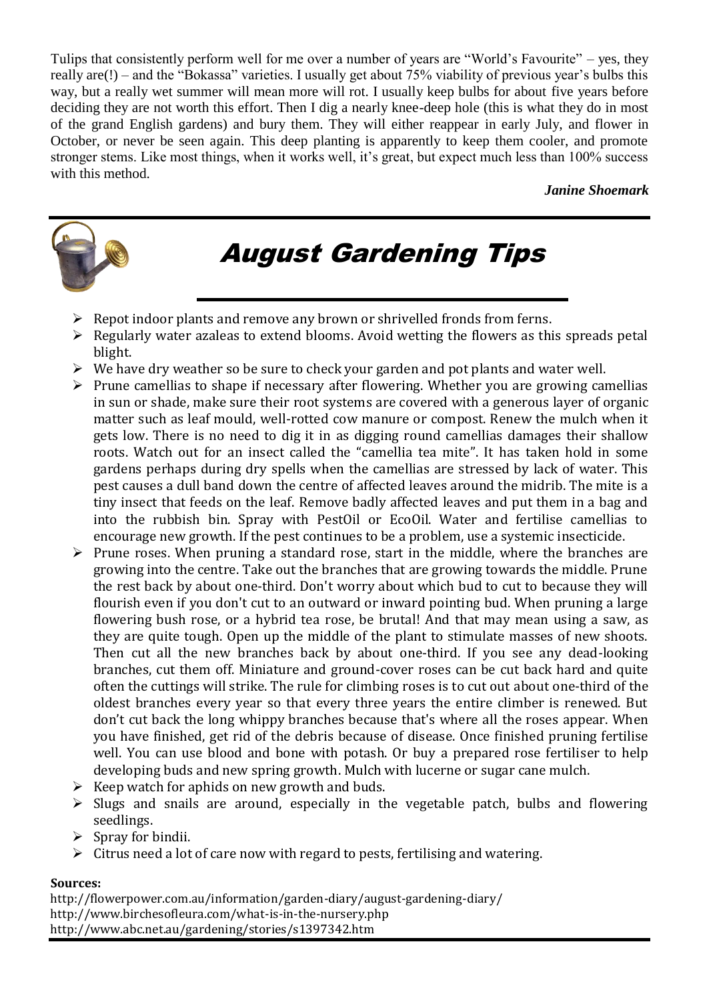Tulips that consistently perform well for me over a number of years are "World's Favourite" – yes, they really are(!) – and the "Bokassa" varieties. I usually get about 75% viability of previous year's bulbs this way, but a really wet summer will mean more will rot. I usually keep bulbs for about five years before deciding they are not worth this effort. Then I dig a nearly knee-deep hole (this is what they do in most of the grand English gardens) and bury them. They will either reappear in early July, and flower in October, or never be seen again. This deep planting is apparently to keep them cooler, and promote stronger stems. Like most things, when it works well, it's great, but expect much less than 100% success with this method.

#### *Janine Shoemark*



# August Gardening Tips

- $\triangleright$  Repot indoor plants and remove any brown or shrivelled fronds from ferns.
- $\triangleright$  Regularly water azaleas to extend blooms. Avoid wetting the flowers as this spreads petal blight.
- $\triangleright$  We have dry weather so be sure to check your garden and pot plants and water well.
- $\triangleright$  Prune camellias to shape if necessary after flowering. Whether you are growing camellias in sun or shade, make sure their root systems are covered with a generous layer of organic matter such as leaf mould, well-rotted cow manure or compost. Renew the mulch when it gets low. There is no need to dig it in as digging round camellias damages their shallow roots. Watch out for an insect called the "camellia tea mite". It has taken hold in some gardens perhaps during dry spells when the camellias are stressed by lack of water. This pest causes a dull band down the centre of affected leaves around the midrib. The mite is a tiny insect that feeds on the leaf. Remove badly affected leaves and put them in a bag and into the rubbish bin. Spray with PestOil or EcoOil. Water and fertilise camellias to encourage new growth. If the pest continues to be a problem, use a systemic insecticide.
- $\triangleright$  Prune roses. When pruning a standard rose, start in the middle, where the branches are growing into the centre. Take out the branches that are growing towards the middle. Prune the rest back by about one-third. Don't worry about which bud to cut to because they will flourish even if you don't cut to an outward or inward pointing bud. When pruning a large flowering bush rose, or a hybrid tea rose, be brutal! And that may mean using a saw, as they are quite tough. Open up the middle of the plant to stimulate masses of new shoots. Then cut all the new branches back by about one-third. If you see any dead-looking branches, cut them off. Miniature and ground-cover roses can be cut back hard and quite often the cuttings will strike. The rule for climbing roses is to cut out about one-third of the oldest branches every year so that every three years the entire climber is renewed. But don't cut back the long whippy branches because that's where all the roses appear. When you have finished, get rid of the debris because of disease. Once finished pruning fertilise well. You can use blood and bone with potash. Or buy a prepared rose fertiliser to help developing buds and new spring growth. Mulch with lucerne or sugar cane mulch.
- $\triangleright$  Keep watch for aphids on new growth and buds.
- $\triangleright$  Slugs and snails are around, especially in the vegetable patch, bulbs and flowering seedlings.
- $\triangleright$  Spray for bindii.
- $\triangleright$  Citrus need a lot of care now with regard to pests, fertilising and watering.

#### **Sources:**

http://flowerpower.com.au/information/garden-diary/august-gardening-diary/ http://www.birchesofleura.com/what-is-in-the-nursery.php http://www.abc.net.au/gardening/stories/s1397342.htm